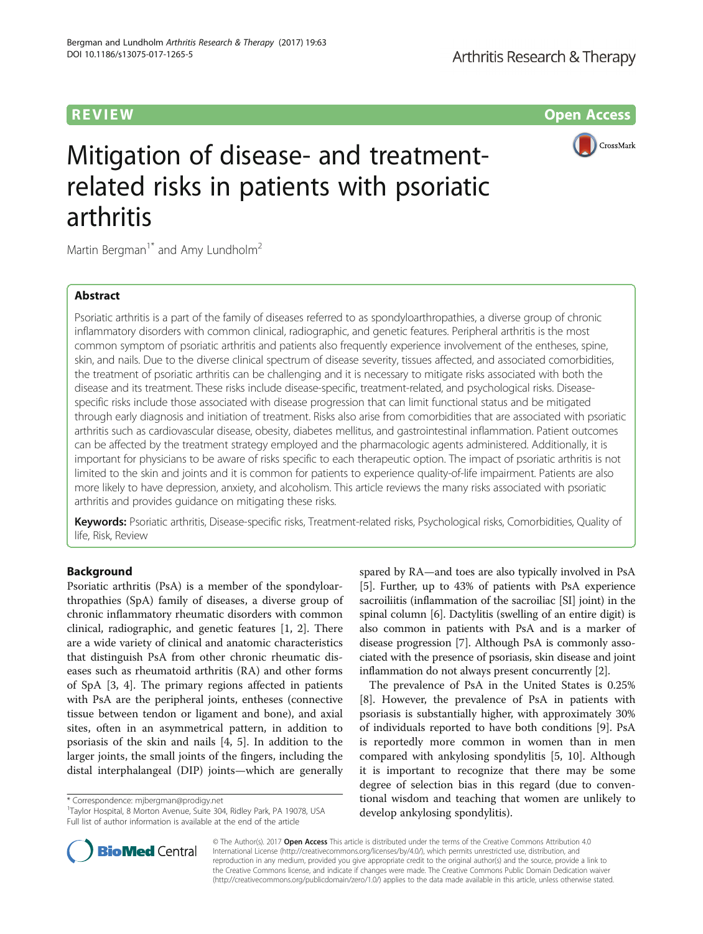**REVIEW CONSIDERING CONSIDERING CONSIDERING CONSIDERING CONSIDERING CONSIDERING CONSIDERING CONSIDERING CONSIDERING CONSIDERING CONSIDERING CONSIDERING CONSIDERING CONSIDERING CONSIDERING CONSIDERING CONSIDERING CONSIDER** 



# Mitigation of disease- and treatmentrelated risks in patients with psoriatic arthritis

Martin Bergman<sup>1\*</sup> and Amy Lundholm<sup>2</sup>

# Abstract

Psoriatic arthritis is a part of the family of diseases referred to as spondyloarthropathies, a diverse group of chronic inflammatory disorders with common clinical, radiographic, and genetic features. Peripheral arthritis is the most common symptom of psoriatic arthritis and patients also frequently experience involvement of the entheses, spine, skin, and nails. Due to the diverse clinical spectrum of disease severity, tissues affected, and associated comorbidities, the treatment of psoriatic arthritis can be challenging and it is necessary to mitigate risks associated with both the disease and its treatment. These risks include disease-specific, treatment-related, and psychological risks. Diseasespecific risks include those associated with disease progression that can limit functional status and be mitigated through early diagnosis and initiation of treatment. Risks also arise from comorbidities that are associated with psoriatic arthritis such as cardiovascular disease, obesity, diabetes mellitus, and gastrointestinal inflammation. Patient outcomes can be affected by the treatment strategy employed and the pharmacologic agents administered. Additionally, it is important for physicians to be aware of risks specific to each therapeutic option. The impact of psoriatic arthritis is not limited to the skin and joints and it is common for patients to experience quality-of-life impairment. Patients are also more likely to have depression, anxiety, and alcoholism. This article reviews the many risks associated with psoriatic arthritis and provides guidance on mitigating these risks.

Keywords: Psoriatic arthritis, Disease-specific risks, Treatment-related risks, Psychological risks, Comorbidities, Quality of life, Risk, Review

# Background

Psoriatic arthritis (PsA) is a member of the spondyloarthropathies (SpA) family of diseases, a diverse group of chronic inflammatory rheumatic disorders with common clinical, radiographic, and genetic features [[1, 2\]](#page-5-0). There are a wide variety of clinical and anatomic characteristics that distinguish PsA from other chronic rheumatic diseases such as rheumatoid arthritis (RA) and other forms of SpA [[3](#page-5-0), [4\]](#page-5-0). The primary regions affected in patients with PsA are the peripheral joints, entheses (connective tissue between tendon or ligament and bone), and axial sites, often in an asymmetrical pattern, in addition to psoriasis of the skin and nails [[4, 5\]](#page-5-0). In addition to the larger joints, the small joints of the fingers, including the distal interphalangeal (DIP) joints—which are generally

\* Correspondence: [mjbergman@prodigy.net](mailto:mjbergman@prodigy.net) <sup>1</sup>

spared by RA—and toes are also typically involved in PsA [[5\]](#page-5-0). Further, up to 43% of patients with PsA experience sacroiliitis (inflammation of the sacroiliac [SI] joint) in the spinal column [[6](#page-6-0)]. Dactylitis (swelling of an entire digit) is also common in patients with PsA and is a marker of disease progression [\[7\]](#page-6-0). Although PsA is commonly associated with the presence of psoriasis, skin disease and joint inflammation do not always present concurrently [\[2](#page-5-0)].

The prevalence of PsA in the United States is 0.25% [[8\]](#page-6-0). However, the prevalence of PsA in patients with psoriasis is substantially higher, with approximately 30% of individuals reported to have both conditions [[9](#page-6-0)]. PsA is reportedly more common in women than in men compared with ankylosing spondylitis [[5,](#page-5-0) [10\]](#page-6-0). Although it is important to recognize that there may be some degree of selection bias in this regard (due to conventional wisdom and teaching that women are unlikely to develop ankylosing spondylitis).



© The Author(s). 2017 **Open Access** This article is distributed under the terms of the Creative Commons Attribution 4.0 International License [\(http://creativecommons.org/licenses/by/4.0/](http://creativecommons.org/licenses/by/4.0/)), which permits unrestricted use, distribution, and reproduction in any medium, provided you give appropriate credit to the original author(s) and the source, provide a link to the Creative Commons license, and indicate if changes were made. The Creative Commons Public Domain Dedication waiver [\(http://creativecommons.org/publicdomain/zero/1.0/](http://creativecommons.org/publicdomain/zero/1.0/)) applies to the data made available in this article, unless otherwise stated.

<sup>&</sup>lt;sup>1</sup>Taylor Hospital, 8 Morton Avenue, Suite 304, Ridley Park, PA 19078, USA Full list of author information is available at the end of the article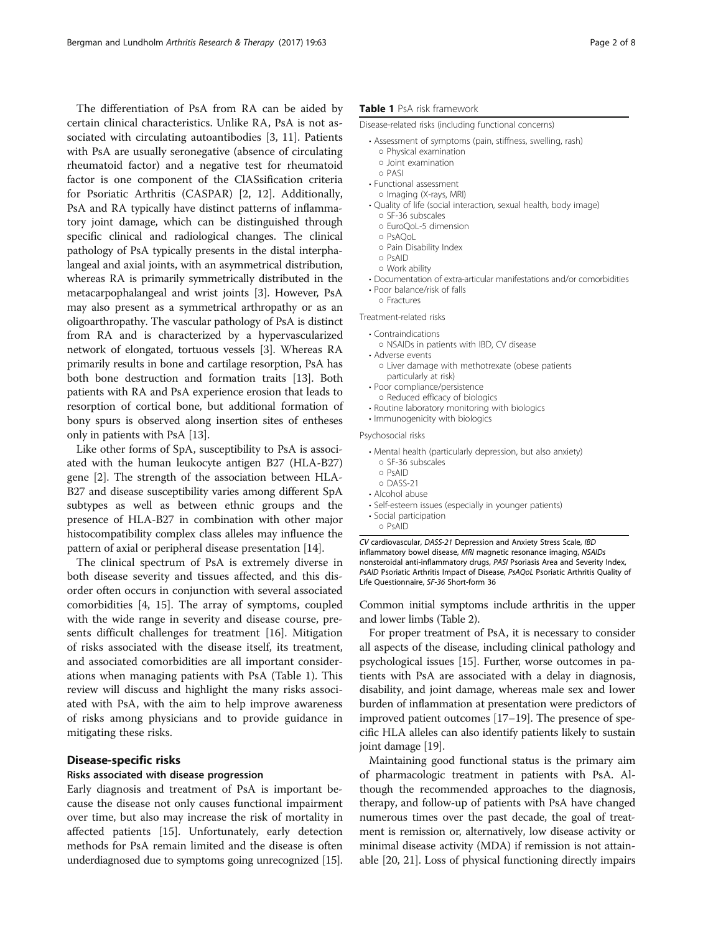The differentiation of PsA from RA can be aided by certain clinical characteristics. Unlike RA, PsA is not associated with circulating autoantibodies [\[3](#page-5-0), [11\]](#page-6-0). Patients with PsA are usually seronegative (absence of circulating rheumatoid factor) and a negative test for rheumatoid factor is one component of the ClASsification criteria for Psoriatic Arthritis (CASPAR) [[2,](#page-5-0) [12\]](#page-6-0). Additionally, PsA and RA typically have distinct patterns of inflammatory joint damage, which can be distinguished through specific clinical and radiological changes. The clinical pathology of PsA typically presents in the distal interphalangeal and axial joints, with an asymmetrical distribution, whereas RA is primarily symmetrically distributed in the metacarpophalangeal and wrist joints [\[3](#page-5-0)]. However, PsA may also present as a symmetrical arthropathy or as an oligoarthropathy. The vascular pathology of PsA is distinct from RA and is characterized by a hypervascularized network of elongated, tortuous vessels [\[3](#page-5-0)]. Whereas RA primarily results in bone and cartilage resorption, PsA has both bone destruction and formation traits [\[13\]](#page-6-0). Both patients with RA and PsA experience erosion that leads to resorption of cortical bone, but additional formation of bony spurs is observed along insertion sites of entheses only in patients with PsA [[13](#page-6-0)].

Like other forms of SpA, susceptibility to PsA is associated with the human leukocyte antigen B27 (HLA-B27) gene [\[2](#page-5-0)]. The strength of the association between HLA-B27 and disease susceptibility varies among different SpA subtypes as well as between ethnic groups and the presence of HLA-B27 in combination with other major histocompatibility complex class alleles may influence the pattern of axial or peripheral disease presentation [\[14\]](#page-6-0).

The clinical spectrum of PsA is extremely diverse in both disease severity and tissues affected, and this disorder often occurs in conjunction with several associated comorbidities [\[4](#page-5-0), [15\]](#page-6-0). The array of symptoms, coupled with the wide range in severity and disease course, presents difficult challenges for treatment [\[16\]](#page-6-0). Mitigation of risks associated with the disease itself, its treatment, and associated comorbidities are all important considerations when managing patients with PsA (Table 1). This review will discuss and highlight the many risks associated with PsA, with the aim to help improve awareness of risks among physicians and to provide guidance in mitigating these risks.

# Disease-specific risks

# Risks associated with disease progression

Early diagnosis and treatment of PsA is important because the disease not only causes functional impairment over time, but also may increase the risk of mortality in affected patients [[15\]](#page-6-0). Unfortunately, early detection methods for PsA remain limited and the disease is often underdiagnosed due to symptoms going unrecognized [\[15](#page-6-0)].

# Table 1 PsA risk framework

Disease-related risks (including functional concerns)

- Assessment of symptoms (pain, stiffness, swelling, rash) ○ Physical examination
	- Joint examination
- PASI
- Functional assessment
- Imaging (X-rays, MRI)
- Quality of life (social interaction, sexual health, body image)
	- SF-36 subscales ○ EuroQoL-5 dimension
	- PsAQoL
	- Pain Disability Index
	- PsAID
	- Work ability
- Documentation of extra-articular manifestations and/or comorbidities
- Poor balance/risk of falls
- Fractures

Treatment-related risks

• Contraindications

- NSAIDs in patients with IBD, CV disease
- Adverse events
- Liver damage with methotrexate (obese patients particularly at risk)
- Poor compliance/persistence
- Reduced efficacy of biologics
- Routine laboratory monitoring with biologics
- Immunogenicity with biologics

Psychosocial risks

- Mental health (particularly depression, but also anxiety) ○ SF-36 subscales
- PsAID
- DASS-21
- Alcohol abuse
- Self-esteem issues (especially in younger patients)
- Social participation

○ PsAID

CV cardiovascular, DASS-21 Depression and Anxiety Stress Scale, IBD inflammatory bowel disease, MRI magnetic resonance imaging, NSAIDs nonsteroidal anti-inflammatory drugs, PASI Psoriasis Area and Severity Index, PsAID Psoriatic Arthritis Impact of Disease, PsAQoL Psoriatic Arthritis Quality of Life Questionnaire, SF-36 Short-form 36

Common initial symptoms include arthritis in the upper and lower limbs (Table [2\)](#page-2-0).

For proper treatment of PsA, it is necessary to consider all aspects of the disease, including clinical pathology and psychological issues [\[15](#page-6-0)]. Further, worse outcomes in patients with PsA are associated with a delay in diagnosis, disability, and joint damage, whereas male sex and lower burden of inflammation at presentation were predictors of improved patient outcomes [\[17](#page-6-0)–[19](#page-6-0)]. The presence of specific HLA alleles can also identify patients likely to sustain joint damage [\[19\]](#page-6-0).

Maintaining good functional status is the primary aim of pharmacologic treatment in patients with PsA. Although the recommended approaches to the diagnosis, therapy, and follow-up of patients with PsA have changed numerous times over the past decade, the goal of treatment is remission or, alternatively, low disease activity or minimal disease activity (MDA) if remission is not attainable [\[20, 21](#page-6-0)]. Loss of physical functioning directly impairs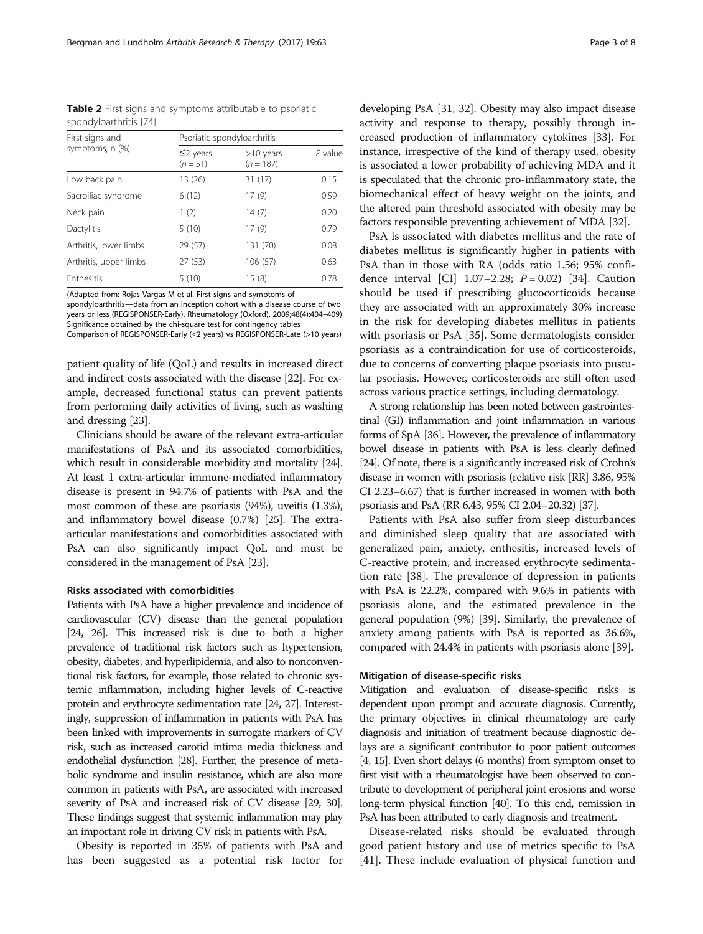<span id="page-2-0"></span>Table 2 First signs and symptoms attributable to psoriatic spondyloarthritis [\[74\]](#page-7-0)

| First signs and<br>symptoms, n (%) | Psoriatic spondyloarthritis |                            |         |
|------------------------------------|-----------------------------|----------------------------|---------|
|                                    | $\leq$ 2 years<br>$(n=51)$  | $>10$ years<br>$(n = 187)$ | P value |
| Low back pain                      | 13 (26)                     | 31(17)                     | 0.15    |
| Sacroiliac syndrome                | 6(12)                       | 17(9)                      | 0.59    |
| Neck pain                          | 1(2)                        | 14(7)                      | 0.20    |
| Dactylitis                         | 5(10)                       | 17(9)                      | 0.79    |
| Arthritis, lower limbs             | 29 (57)                     | 131 (70)                   | 0.08    |
| Arthritis, upper limbs             | 27(53)                      | 106 (57)                   | 0.63    |
| Enthesitis                         | 5(10)                       | 15(8)                      | 0.78    |

(Adapted from: Rojas-Vargas M et al. First signs and symptoms of spondyloarthritis—data from an inception cohort with a disease course of two years or less (REGISPONSER-Early). Rheumatology (Oxford). 2009;48(4):404–409) Significance obtained by the chi-square test for contingency tables

Comparison of REGISPONSER-Early (≤2 years) vs REGISPONSER-Late (>10 years)

patient quality of life (QoL) and results in increased direct and indirect costs associated with the disease [[22](#page-6-0)]. For example, decreased functional status can prevent patients from performing daily activities of living, such as washing and dressing [[23](#page-6-0)].

Clinicians should be aware of the relevant extra-articular manifestations of PsA and its associated comorbidities, which result in considerable morbidity and mortality [[24](#page-6-0)]. At least 1 extra-articular immune-mediated inflammatory disease is present in 94.7% of patients with PsA and the most common of these are psoriasis (94%), uveitis (1.3%), and inflammatory bowel disease (0.7%) [\[25\]](#page-6-0). The extraarticular manifestations and comorbidities associated with PsA can also significantly impact QoL and must be considered in the management of PsA [\[23](#page-6-0)].

#### Risks associated with comorbidities

Patients with PsA have a higher prevalence and incidence of cardiovascular (CV) disease than the general population [[24, 26](#page-6-0)]. This increased risk is due to both a higher prevalence of traditional risk factors such as hypertension, obesity, diabetes, and hyperlipidemia, and also to nonconventional risk factors, for example, those related to chronic systemic inflammation, including higher levels of C-reactive protein and erythrocyte sedimentation rate [\[24](#page-6-0), [27\]](#page-6-0). Interestingly, suppression of inflammation in patients with PsA has been linked with improvements in surrogate markers of CV risk, such as increased carotid intima media thickness and endothelial dysfunction [\[28](#page-6-0)]. Further, the presence of metabolic syndrome and insulin resistance, which are also more common in patients with PsA, are associated with increased severity of PsA and increased risk of CV disease [\[29](#page-6-0), [30\]](#page-6-0). These findings suggest that systemic inflammation may play an important role in driving CV risk in patients with PsA.

Obesity is reported in 35% of patients with PsA and has been suggested as a potential risk factor for developing PsA [[31](#page-6-0), [32](#page-6-0)]. Obesity may also impact disease activity and response to therapy, possibly through increased production of inflammatory cytokines [\[33\]](#page-6-0). For instance, irrespective of the kind of therapy used, obesity is associated a lower probability of achieving MDA and it is speculated that the chronic pro-inflammatory state, the biomechanical effect of heavy weight on the joints, and the altered pain threshold associated with obesity may be factors responsible preventing achievement of MDA [\[32\]](#page-6-0).

PsA is associated with diabetes mellitus and the rate of diabetes mellitus is significantly higher in patients with PsA than in those with RA (odds ratio 1.56; 95% confidence interval [CI]  $1.07-2.28$ ;  $P = 0.02$  [[34\]](#page-6-0). Caution should be used if prescribing glucocorticoids because they are associated with an approximately 30% increase in the risk for developing diabetes mellitus in patients with psoriasis or PsA [\[35](#page-6-0)]. Some dermatologists consider psoriasis as a contraindication for use of corticosteroids, due to concerns of converting plaque psoriasis into pustular psoriasis. However, corticosteroids are still often used across various practice settings, including dermatology.

A strong relationship has been noted between gastrointestinal (GI) inflammation and joint inflammation in various forms of SpA [\[36](#page-6-0)]. However, the prevalence of inflammatory bowel disease in patients with PsA is less clearly defined [[24\]](#page-6-0). Of note, there is a significantly increased risk of Crohn's disease in women with psoriasis (relative risk [RR] 3.86, 95% CI 2.23–6.67) that is further increased in women with both psoriasis and PsA (RR 6.43, 95% CI 2.04–20.32) [\[37\]](#page-6-0).

Patients with PsA also suffer from sleep disturbances and diminished sleep quality that are associated with generalized pain, anxiety, enthesitis, increased levels of C-reactive protein, and increased erythrocyte sedimentation rate [[38\]](#page-6-0). The prevalence of depression in patients with PsA is 22.2%, compared with 9.6% in patients with psoriasis alone, and the estimated prevalence in the general population (9%) [[39](#page-6-0)]. Similarly, the prevalence of anxiety among patients with PsA is reported as 36.6%, compared with 24.4% in patients with psoriasis alone [\[39\]](#page-6-0).

### Mitigation of disease-specific risks

Mitigation and evaluation of disease-specific risks is dependent upon prompt and accurate diagnosis. Currently, the primary objectives in clinical rheumatology are early diagnosis and initiation of treatment because diagnostic delays are a significant contributor to poor patient outcomes [[4](#page-5-0), [15\]](#page-6-0). Even short delays (6 months) from symptom onset to first visit with a rheumatologist have been observed to contribute to development of peripheral joint erosions and worse long-term physical function [[40\]](#page-6-0). To this end, remission in PsA has been attributed to early diagnosis and treatment.

Disease-related risks should be evaluated through good patient history and use of metrics specific to PsA [[41\]](#page-6-0). These include evaluation of physical function and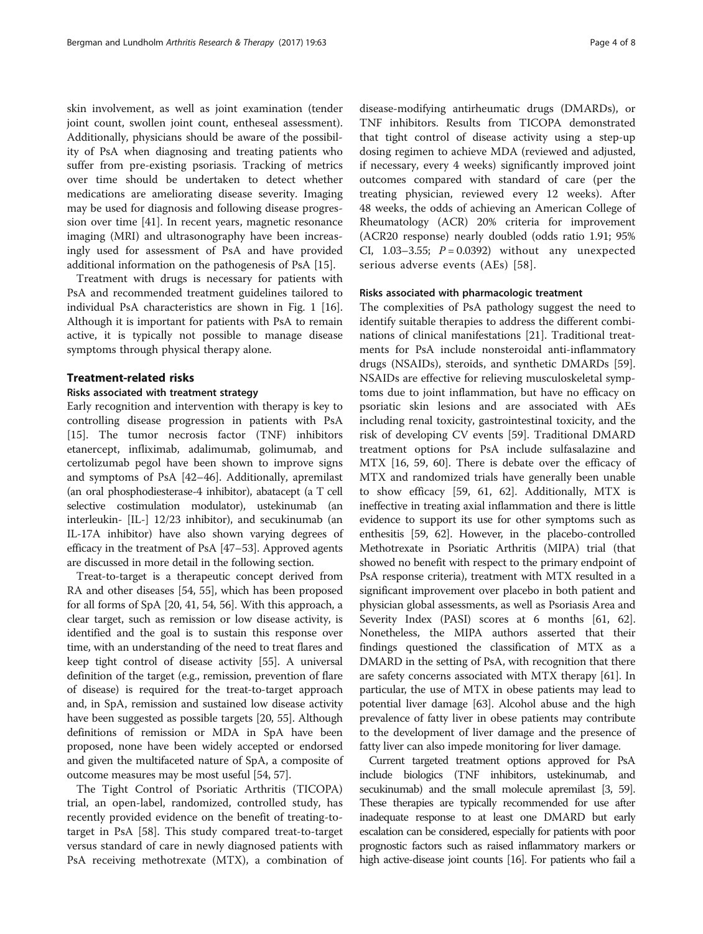skin involvement, as well as joint examination (tender joint count, swollen joint count, entheseal assessment). Additionally, physicians should be aware of the possibility of PsA when diagnosing and treating patients who suffer from pre-existing psoriasis. Tracking of metrics over time should be undertaken to detect whether medications are ameliorating disease severity. Imaging may be used for diagnosis and following disease progression over time [[41\]](#page-6-0). In recent years, magnetic resonance imaging (MRI) and ultrasonography have been increasingly used for assessment of PsA and have provided additional information on the pathogenesis of PsA [\[15](#page-6-0)].

Treatment with drugs is necessary for patients with PsA and recommended treatment guidelines tailored to individual PsA characteristics are shown in Fig. [1](#page-4-0) [\[16](#page-6-0)]. Although it is important for patients with PsA to remain active, it is typically not possible to manage disease symptoms through physical therapy alone.

# Treatment-related risks

# Risks associated with treatment strategy

Early recognition and intervention with therapy is key to controlling disease progression in patients with PsA [[15\]](#page-6-0). The tumor necrosis factor (TNF) inhibitors etanercept, infliximab, adalimumab, golimumab, and certolizumab pegol have been shown to improve signs and symptoms of PsA [[42](#page-6-0)–[46](#page-6-0)]. Additionally, apremilast (an oral phosphodiesterase-4 inhibitor), abatacept (a T cell selective costimulation modulator), ustekinumab (an interleukin- [IL-] 12/23 inhibitor), and secukinumab (an IL-17A inhibitor) have also shown varying degrees of efficacy in the treatment of PsA [[47](#page-6-0)–[53\]](#page-7-0). Approved agents are discussed in more detail in the following section.

Treat-to-target is a therapeutic concept derived from RA and other diseases [[54, 55\]](#page-7-0), which has been proposed for all forms of SpA [\[20](#page-6-0), [41,](#page-6-0) [54](#page-7-0), [56\]](#page-7-0). With this approach, a clear target, such as remission or low disease activity, is identified and the goal is to sustain this response over time, with an understanding of the need to treat flares and keep tight control of disease activity [\[55\]](#page-7-0). A universal definition of the target (e.g., remission, prevention of flare of disease) is required for the treat-to-target approach and, in SpA, remission and sustained low disease activity have been suggested as possible targets [\[20,](#page-6-0) [55\]](#page-7-0). Although definitions of remission or MDA in SpA have been proposed, none have been widely accepted or endorsed and given the multifaceted nature of SpA, a composite of outcome measures may be most useful [[54](#page-7-0), [57\]](#page-7-0).

The Tight Control of Psoriatic Arthritis (TICOPA) trial, an open-label, randomized, controlled study, has recently provided evidence on the benefit of treating-totarget in PsA [\[58](#page-7-0)]. This study compared treat-to-target versus standard of care in newly diagnosed patients with PsA receiving methotrexate (MTX), a combination of

disease-modifying antirheumatic drugs (DMARDs), or TNF inhibitors. Results from TICOPA demonstrated that tight control of disease activity using a step-up dosing regimen to achieve MDA (reviewed and adjusted, if necessary, every 4 weeks) significantly improved joint outcomes compared with standard of care (per the treating physician, reviewed every 12 weeks). After 48 weeks, the odds of achieving an American College of Rheumatology (ACR) 20% criteria for improvement (ACR20 response) nearly doubled (odds ratio 1.91; 95% CI, 1.03-3.55;  $P = 0.0392$ ) without any unexpected serious adverse events (AEs) [\[58\]](#page-7-0).

# Risks associated with pharmacologic treatment

The complexities of PsA pathology suggest the need to identify suitable therapies to address the different combinations of clinical manifestations [\[21](#page-6-0)]. Traditional treatments for PsA include nonsteroidal anti-inflammatory drugs (NSAIDs), steroids, and synthetic DMARDs [\[59](#page-7-0)]. NSAIDs are effective for relieving musculoskeletal symptoms due to joint inflammation, but have no efficacy on psoriatic skin lesions and are associated with AEs including renal toxicity, gastrointestinal toxicity, and the risk of developing CV events [[59](#page-7-0)]. Traditional DMARD treatment options for PsA include sulfasalazine and MTX [[16](#page-6-0), [59, 60\]](#page-7-0). There is debate over the efficacy of MTX and randomized trials have generally been unable to show efficacy [[59](#page-7-0), [61, 62](#page-7-0)]. Additionally, MTX is ineffective in treating axial inflammation and there is little evidence to support its use for other symptoms such as enthesitis [\[59, 62](#page-7-0)]. However, in the placebo-controlled Methotrexate in Psoriatic Arthritis (MIPA) trial (that showed no benefit with respect to the primary endpoint of PsA response criteria), treatment with MTX resulted in a significant improvement over placebo in both patient and physician global assessments, as well as Psoriasis Area and Severity Index (PASI) scores at 6 months [[61, 62](#page-7-0)]. Nonetheless, the MIPA authors asserted that their findings questioned the classification of MTX as a DMARD in the setting of PsA, with recognition that there are safety concerns associated with MTX therapy [[61](#page-7-0)]. In particular, the use of MTX in obese patients may lead to potential liver damage [[63](#page-7-0)]. Alcohol abuse and the high prevalence of fatty liver in obese patients may contribute to the development of liver damage and the presence of fatty liver can also impede monitoring for liver damage.

Current targeted treatment options approved for PsA include biologics (TNF inhibitors, ustekinumab, and secukinumab) and the small molecule apremilast [[3](#page-5-0), [59\]](#page-7-0). These therapies are typically recommended for use after inadequate response to at least one DMARD but early escalation can be considered, especially for patients with poor prognostic factors such as raised inflammatory markers or high active-disease joint counts [\[16\]](#page-6-0). For patients who fail a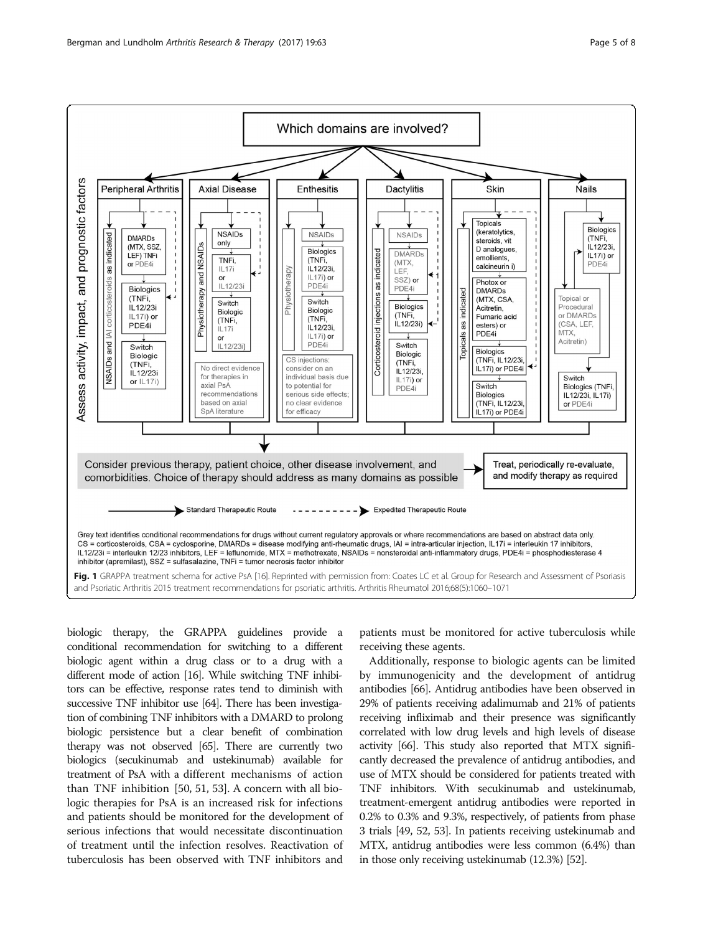<span id="page-4-0"></span>

biologic therapy, the GRAPPA guidelines provide a conditional recommendation for switching to a different biologic agent within a drug class or to a drug with a different mode of action [\[16\]](#page-6-0). While switching TNF inhibitors can be effective, response rates tend to diminish with successive TNF inhibitor use [\[64](#page-7-0)]. There has been investigation of combining TNF inhibitors with a DMARD to prolong biologic persistence but a clear benefit of combination therapy was not observed [\[65](#page-7-0)]. There are currently two biologics (secukinumab and ustekinumab) available for treatment of PsA with a different mechanisms of action than TNF inhibition [[50](#page-6-0), [51, 53](#page-7-0)]. A concern with all biologic therapies for PsA is an increased risk for infections and patients should be monitored for the development of serious infections that would necessitate discontinuation of treatment until the infection resolves. Reactivation of tuberculosis has been observed with TNF inhibitors and

patients must be monitored for active tuberculosis while receiving these agents.

Additionally, response to biologic agents can be limited by immunogenicity and the development of antidrug antibodies [[66](#page-7-0)]. Antidrug antibodies have been observed in 29% of patients receiving adalimumab and 21% of patients receiving infliximab and their presence was significantly correlated with low drug levels and high levels of disease activity [\[66\]](#page-7-0). This study also reported that MTX significantly decreased the prevalence of antidrug antibodies, and use of MTX should be considered for patients treated with TNF inhibitors. With secukinumab and ustekinumab, treatment-emergent antidrug antibodies were reported in 0.2% to 0.3% and 9.3%, respectively, of patients from phase 3 trials [\[49,](#page-6-0) [52, 53](#page-7-0)]. In patients receiving ustekinumab and MTX, antidrug antibodies were less common (6.4%) than in those only receiving ustekinumab (12.3%) [\[52](#page-7-0)].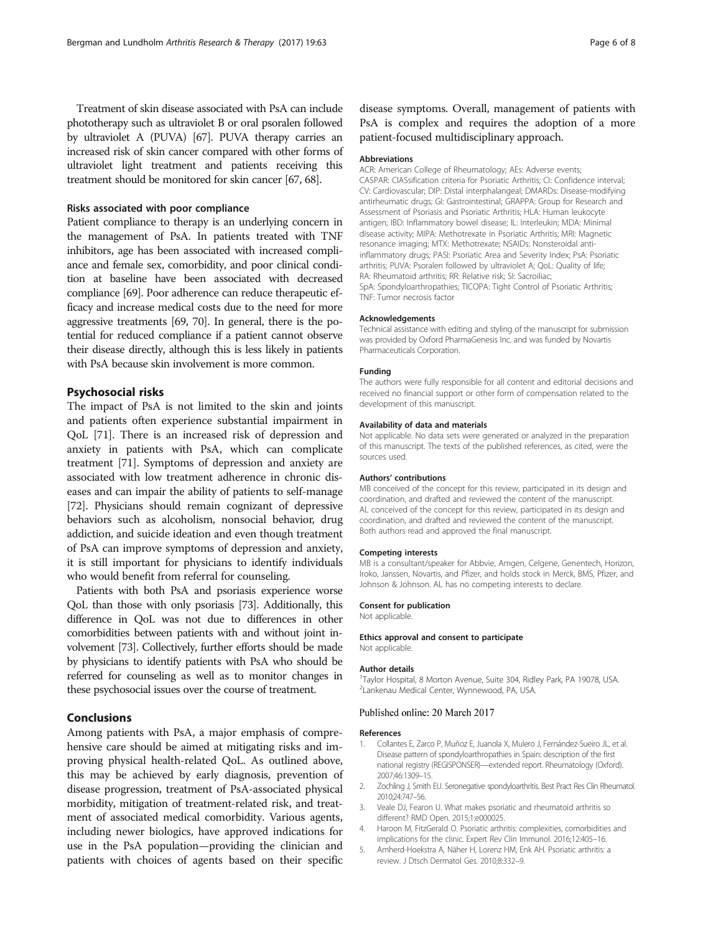# <span id="page-5-0"></span>Risks associated with poor compliance

Patient compliance to therapy is an underlying concern in the management of PsA. In patients treated with TNF inhibitors, age has been associated with increased compliance and female sex, comorbidity, and poor clinical condition at baseline have been associated with decreased compliance [\[69\]](#page-7-0). Poor adherence can reduce therapeutic efficacy and increase medical costs due to the need for more aggressive treatments [\[69, 70\]](#page-7-0). In general, there is the potential for reduced compliance if a patient cannot observe their disease directly, although this is less likely in patients with PsA because skin involvement is more common.

# Psychosocial risks

The impact of PsA is not limited to the skin and joints and patients often experience substantial impairment in QoL [\[71](#page-7-0)]. There is an increased risk of depression and anxiety in patients with PsA, which can complicate treatment [\[71\]](#page-7-0). Symptoms of depression and anxiety are associated with low treatment adherence in chronic diseases and can impair the ability of patients to self-manage [[72](#page-7-0)]. Physicians should remain cognizant of depressive behaviors such as alcoholism, nonsocial behavior, drug addiction, and suicide ideation and even though treatment of PsA can improve symptoms of depression and anxiety, it is still important for physicians to identify individuals who would benefit from referral for counseling.

Patients with both PsA and psoriasis experience worse QoL than those with only psoriasis [\[73](#page-7-0)]. Additionally, this difference in QoL was not due to differences in other comorbidities between patients with and without joint involvement [\[73](#page-7-0)]. Collectively, further efforts should be made by physicians to identify patients with PsA who should be referred for counseling as well as to monitor changes in these psychosocial issues over the course of treatment.

# Conclusions

Among patients with PsA, a major emphasis of comprehensive care should be aimed at mitigating risks and improving physical health-related QoL. As outlined above, this may be achieved by early diagnosis, prevention of disease progression, treatment of PsA-associated physical morbidity, mitigation of treatment-related risk, and treatment of associated medical comorbidity. Various agents, including newer biologics, have approved indications for use in the PsA population—providing the clinician and patients with choices of agents based on their specific

disease symptoms. Overall, management of patients with PsA is complex and requires the adoption of a more patient-focused multidisciplinary approach.

# Abbreviations

ACR: American College of Rheumatology; AEs: Adverse events; CASPAR: ClASsification criteria for Psoriatic Arthritis; CI: Confidence interval; CV: Cardiovascular; DIP: Distal interphalangeal; DMARDs: Disease-modifying antirheumatic drugs; GI: Gastrointestinal; GRAPPA: Group for Research and Assessment of Psoriasis and Psoriatic Arthritis; HLA: Human leukocyte antigen; IBD: Inflammatory bowel disease; IL: Interleukin; MDA: Minimal disease activity; MIPA: Methotrexate in Psoriatic Arthritis; MRI: Magnetic resonance imaging; MTX: Methotrexate; NSAIDs: Nonsteroidal antiinflammatory drugs; PASI: Psoriatic Area and Severity Index; PsA: Psoriatic arthritis; PUVA: Psoralen followed by ultraviolet A; QoL: Quality of life; RA: Rheumatoid arthritis; RR: Relative risk; SI: Sacroiliac; SpA: Spondyloarthropathies; TICOPA: Tight Control of Psoriatic Arthritis; TNF: Tumor necrosis factor

#### Acknowledgements

Technical assistance with editing and styling of the manuscript for submission was provided by Oxford PharmaGenesis Inc. and was funded by Novartis Pharmaceuticals Corporation.

#### Funding

The authors were fully responsible for all content and editorial decisions and received no financial support or other form of compensation related to the development of this manuscript.

#### Availability of data and materials

Not applicable. No data sets were generated or analyzed in the preparation of this manuscript. The texts of the published references, as cited, were the sources used.

#### Authors' contributions

MB conceived of the concept for this review, participated in its design and coordination, and drafted and reviewed the content of the manuscript. AL conceived of the concept for this review, participated in its design and coordination, and drafted and reviewed the content of the manuscript. Both authors read and approved the final manuscript.

#### Competing interests

MB is a consultant/speaker for Abbvie, Amgen, Celgene, Genentech, Horizon, Iroko, Janssen, Novartis, and Pfizer, and holds stock in Merck, BMS, Pfizer, and Johnson & Johnson. AL has no competing interests to declare.

#### Consent for publication

Not applicable.

#### Ethics approval and consent to participate

Not applicable.

#### Author details

<sup>1</sup>Taylor Hospital, 8 Morton Avenue, Suite 304, Ridley Park, PA 19078, USA 2 Lankenau Medical Center, Wynnewood, PA, USA.

#### Published online: 20 March 2017

#### References

- Collantes E, Zarco P, Muñoz E, Juanola X, Mulero J, Fernández-Sueiro JL, et al. Disease pattern of spondyloarthropathies in Spain: description of the first national registry (REGISPONSER)—extended report. Rheumatology (Oxford). 2007;46:1309–15.
- 2. Zochling J, Smith EU. Seronegative spondyloarthritis. Best Pract Res Clin Rheumatol. 2010;24:747–56.
- 3. Veale DJ, Fearon U. What makes psoriatic and rheumatoid arthritis so different? RMD Open. 2015;1:e000025.
- 4. Haroon M, FitzGerald O. Psoriatic arthritis: complexities, comorbidities and implications for the clinic. Expert Rev Clin Immunol. 2016;12:405–16.
- 5. Amherd-Hoekstra A, Näher H, Lorenz HM, Enk AH. Psoriatic arthritis: a review. J Dtsch Dermatol Ges. 2010;8:332–9.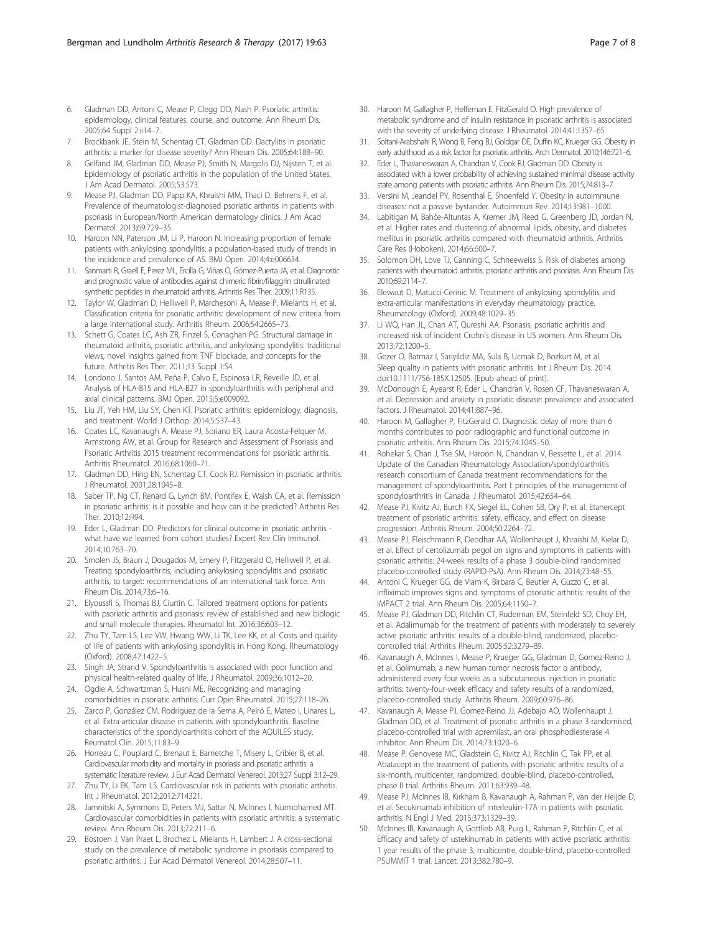- <span id="page-6-0"></span>6. Gladman DD, Antoni C, Mease P, Clegg DO, Nash P. Psoriatic arthritis: epidemiology, clinical features, course, and outcome. Ann Rheum Dis. 2005;64 Suppl 2:ii14–7.
- 7. Brockbank JE, Stein M, Schentag CT, Gladman DD. Dactylitis in psoriatic arthritis: a marker for disease severity? Ann Rheum Dis. 2005;64:188–90.
- 8. Gelfand JM, Gladman DD, Mease PJ, Smith N, Margolis DJ, Nijsten T, et al. Epidemiology of psoriatic arthritis in the population of the United States. J Am Acad Dermatol. 2005;53:573.
- 9. Mease PJ, Gladman DD, Papp KA, Khraishi MM, Thaci D, Behrens F, et al. Prevalence of rheumatologist-diagnosed psoriatic arthritis in patients with psoriasis in European/North American dermatology clinics. J Am Acad Dermatol. 2013;69:729–35.
- 10. Haroon NN, Paterson JM, Li P, Haroon N. Increasing proportion of female patients with ankylosing spondylitis: a population-based study of trends in the incidence and prevalence of AS. BMJ Open. 2014;4:e006634.
- 11. Sanmarti R, Graell E, Perez ML, Ercilla G, Viñas O, Gómez-Puerta JA, et al. Diagnostic and prognostic value of antibodies against chimeric fibrin/filaggrin citrullinated synthetic peptides in rheumatoid arthritis. Arthritis Res Ther. 2009;11:R135.
- 12. Taylor W, Gladman D, Helliwell P, Marchesoni A, Mease P, Mielants H, et al. Classification criteria for psoriatic arthritis: development of new criteria from a large international study. Arthritis Rheum. 2006;54:2665–73.
- 13. Schett G, Coates LC, Ash ZR, Finzel S, Conaghan PG. Structural damage in rheumatoid arthritis, psoriatic arthritis, and ankylosing spondylitis: traditional views, novel insights gained from TNF blockade, and concepts for the future. Arthritis Res Ther. 2011;13 Suppl 1:S4.
- 14. Londono J, Santos AM, Peña P, Calvo E, Espinosa LR, Reveille JD, et al. Analysis of HLA-B15 and HLA-B27 in spondyloarthritis with peripheral and axial clinical patterns. BMJ Open. 2015;5:e009092.
- 15. Liu JT, Yeh HM, Liu SY, Chen KT. Psoriatic arthritis: epidemiology, diagnosis, and treatment. World J Orthop. 2014;5:537–43.
- 16. Coates LC, Kavanaugh A, Mease PJ, Soriano ER, Laura Acosta-Felquer M, Armstrong AW, et al. Group for Research and Assessment of Psoriasis and Psoriatic Arthritis 2015 treatment recommendations for psoriatic arthritis. Arthritis Rheumatol. 2016;68:1060–71.
- 17. Gladman DD, Hing EN, Schentag CT, Cook RJ. Remission in psoriatic arthritis. J Rheumatol. 2001;28:1045–8.
- 18. Saber TP, Ng CT, Renard G, Lynch BM, Pontifex E, Walsh CA, et al. Remission in psoriatic arthritis: is it possible and how can it be predicted? Arthritis Res Ther. 2010;12:R94.
- 19. Eder L, Gladman DD. Predictors for clinical outcome in psoriatic arthritis what have we learned from cohort studies? Expert Rev Clin Immunol. 2014;10:763–70.
- 20. Smolen JS, Braun J, Dougados M, Emery P, Fitzgerald O, Helliwell P, et al. Treating spondyloarthritis, including ankylosing spondylitis and psoriatic arthritis, to target: recommendations of an international task force. Ann Rheum Dis. 2014;73:6–16.
- 21. Elyoussfi S, Thomas BJ, Ciurtin C. Tailored treatment options for patients with psoriatic arthritis and psoriasis: review of established and new biologic and small molecule therapies. Rheumatol Int. 2016;36:603–12.
- 22. Zhu TY, Tam LS, Lee VW, Hwang WW, Li TK, Lee KK, et al. Costs and quality of life of patients with ankylosing spondylitis in Hong Kong. Rheumatology (Oxford). 2008;47:1422–5.
- 23. Singh JA, Strand V. Spondyloarthritis is associated with poor function and physical health-related quality of life. J Rheumatol. 2009;36:1012–20.
- 24. Ogdie A, Schwartzman S, Husni ME. Recognizing and managing comorbidities in psoriatic arthritis. Curr Opin Rheumatol. 2015;27:118–26.
- 25. Zarco P, González CM, Rodríguez de la Serna A, Peiró E, Mateo I, Linares L, et al. Extra-articular disease in patients with spondyloarthritis. Baseline characteristics of the spondyloarthritis cohort of the AQUILES study. Reumatol Clin. 2015;11:83–9.
- 26. Horreau C, Pouplard C, Brenaut E, Barnetche T, Misery L, Cribier B, et al. Cardiovascular morbidity and mortality in psoriasis and psoriatic arthritis: a systematic literature review. J Eur Acad Dermatol Venereol. 2013;27 Suppl 3:12–29.
- 27. Zhu TY, Li EK, Tam LS. Cardiovascular risk in patients with psoriatic arthritis. Int J Rheumatol. 2012;2012:714321.
- 28. Jamnitski A, Symmons D, Peters MJ, Sattar N, McInnes I, Nurmohamed MT. Cardiovascular comorbidities in patients with psoriatic arthritis: a systematic review. Ann Rheum Dis. 2013;72:211–6.
- 29. Bostoen J, Van Praet L, Brochez L, Mielants H, Lambert J. A cross-sectional study on the prevalence of metabolic syndrome in psoriasis compared to psoriatic arthritis. J Eur Acad Dermatol Venereol. 2014;28:507–11.
- 30. Haroon M, Gallagher P, Heffernan E, FitzGerald O. High prevalence of metabolic syndrome and of insulin resistance in psoriatic arthritis is associated with the severity of underlying disease. J Rheumatol. 2014;41:1357–65.
- 31. Soltani-Arabshahi R, Wong B, Feng BJ, Goldgar DE, Duffin KC, Krueger GG. Obesity in early adulthood as a risk factor for psoriatic arthritis. Arch Dermatol. 2010;146:721–6.
- 32. Eder L, Thavaneswaran A, Chandran V, Cook RJ, Gladman DD. Obesity is associated with a lower probability of achieving sustained minimal disease activity state among patients with psoriatic arthritis. Ann Rheum Dis. 2015;74:813–7.
- 33. Versini M, Jeandel PY, Rosenthal E, Shoenfeld Y. Obesity in autoimmune diseases: not a passive bystander. Autoimmun Rev. 2014;13:981–1000.
- 34. Labitigan M, Bahče-Altuntas A, Kremer JM, Reed G, Greenberg JD, Jordan N, et al. Higher rates and clustering of abnormal lipids, obesity, and diabetes mellitus in psoriatic arthritis compared with rheumatoid arthritis. Arthritis Care Res (Hoboken). 2014;66:600–7.
- 35. Solomon DH, Love TJ, Canning C, Schneeweiss S. Risk of diabetes among patients with rheumatoid arthritis, psoriatic arthritis and psoriasis. Ann Rheum Dis. 2010;69:2114–7.
- 36. Elewaut D, Matucci-Cerinic M. Treatment of ankylosing spondylitis and extra-articular manifestations in everyday rheumatology practice. Rheumatology (Oxford). 2009;48:1029–35.
- 37. Li WQ, Han JL, Chan AT, Qureshi AA. Psoriasis, psoriatic arthritis and increased risk of incident Crohn's disease in US women. Ann Rheum Dis. 2013;72:1200–5.
- 38. Gezer O, Batmaz I, Sariyildiz MA, Sula B, Ucmak D, Bozkurt M, et al. Sleep quality in patients with psoriatic arthritis. Int J Rheum Dis. 2014. doi[:10.1111/756-185X.12505.](http://dx.doi.org/10.1111/756-185X.12505) [Epub ahead of print].
- 39. McDonough E, Ayearst R, Eder L, Chandran V, Rosen CF, Thavaneswaran A, et al. Depression and anxiety in psoriatic disease: prevalence and associated factors. J Rheumatol. 2014;41:887–96.
- 40. Haroon M, Gallagher P, FitzGerald O. Diagnostic delay of more than 6 months contributes to poor radiographic and functional outcome in psoriatic arthritis. Ann Rheum Dis. 2015;74:1045–50.
- 41. Rohekar S, Chan J, Tse SM, Haroon N, Chandran V, Bessette L, et al. 2014 Update of the Canadian Rheumatology Association/spondyloarthritis research consortium of Canada treatment recommendations for the management of spondyloarthritis. Part I: principles of the management of spondyloarthritis in Canada. J Rheumatol. 2015;42:654–64.
- 42. Mease PJ, Kivitz AJ, Burch FX, Siegel EL, Cohen SB, Ory P, et al. Etanercept treatment of psoriatic arthritis: safety, efficacy, and effect on disease progression. Arthritis Rheum. 2004;50:2264–72.
- 43. Mease PJ, Fleischmann R, Deodhar AA, Wollenhaupt J, Khraishi M, Kielar D, et al. Effect of certolizumab pegol on signs and symptoms in patients with psoriatic arthritis: 24-week results of a phase 3 double-blind randomised placebo-controlled study (RAPID-PsA). Ann Rheum Dis. 2014;73:48–55.
- 44. Antoni C, Krueger GG, de Vlam K, Birbara C, Beutler A, Guzzo C, et al. Infliximab improves signs and symptoms of psoriatic arthritis: results of the IMPACT 2 trial. Ann Rheum Dis. 2005;64:1150–7.
- 45. Mease PJ, Gladman DD, Ritchlin CT, Ruderman EM, Steinfeld SD, Choy EH, et al. Adalimumab for the treatment of patients with moderately to severely active psoriatic arthritis: results of a double-blind, randomized, placebocontrolled trial. Arthritis Rheum. 2005;52:3279–89.
- 46. Kavanaugh A, McInnes I, Mease P, Krueger GG, Gladman D, Gomez-Reino J, et al. Golimumab, a new human tumor necrosis factor α antibody, administered every four weeks as a subcutaneous injection in psoriatic arthritis: twenty-four-week efficacy and safety results of a randomized, placebo-controlled study. Arthritis Rheum. 2009;60:976–86.
- 47. Kavanaugh A, Mease PJ, Gomez-Reino JJ, Adebajo AO, Wollenhaupt J, Gladman DD, et al. Treatment of psoriatic arthritis in a phase 3 randomised, placebo-controlled trial with apremilast, an oral phosphodiesterase 4 inhibitor. Ann Rheum Dis. 2014;73:1020–6.
- 48. Mease P, Genovese MC, Gladstein G, Kivitz AJ, Ritchlin C, Tak PP, et al. Abatacept in the treatment of patients with psoriatic arthritis: results of a six-month, multicenter, randomized, double-blind, placebo-controlled, phase II trial. Arthritis Rheum. 2011;63:939–48.
- 49. Mease PJ, McInnes IB, Kirkham B, Kavanaugh A, Rahman P, van der Heijde D, et al. Secukinumab inhibition of interleukin-17A in patients with psoriatic arthritis. N Engl J Med. 2015;373:1329–39.
- 50. McInnes IB, Kavanaugh A, Gottlieb AB, Puig L, Rahman P, Ritchlin C, et al. Efficacy and safety of ustekinumab in patients with active psoriatic arthritis: 1 year results of the phase 3, multicentre, double-blind, placebo-controlled PSUMMIT 1 trial. Lancet. 2013;382:780–9.